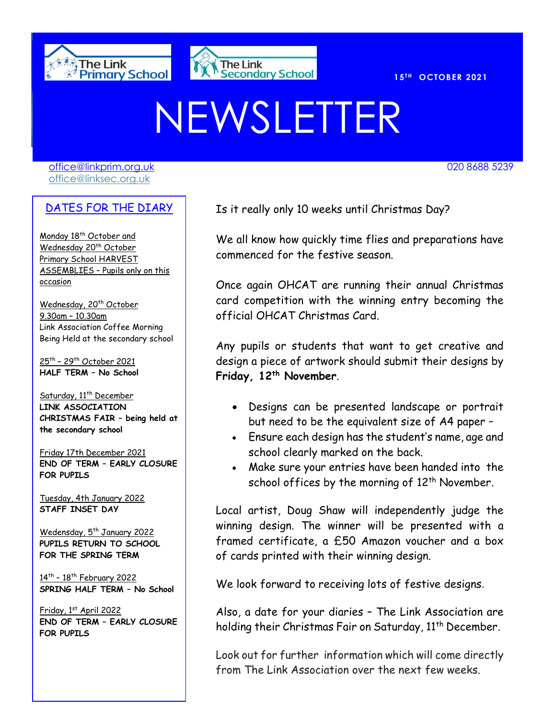



020 8688 7691

# NEWSLETTER

[office@linkprim.org.uk](mailto:office@linkprim.org.uk) 020 8688 5239 office@linksec.org.uk

#### DATES FOR THE DIARY

Monday 18<sup>th</sup> October and Wednesday 20<sup>th</sup> October Primary School HARVEST ASSEMBLIES – Pupils only on this occasion

Wednesday, 20<sup>th</sup> October 9.30am – 10.30am Link Association Coffee Morning Being Held at the secondary school

<u>25th – 29th October 2021</u> **HALF TERM – No School**

Saturday, 11<sup>th</sup> December **LINK ASSOCIATION CHRISTMAS FAIR – being held at the secondary school** 

Friday 17th December 2021 **END OF TERM – EARLY CLOSURE FOR PUPILS**

Tuesday, 4th January 2022 **STAFF INSET DAY**

Wedensday, 5<sup>th</sup> January 2022 **PUPILS RETURN TO SCHOOL FOR THE SPRING TERM**

14<sup>th</sup> - 18<sup>th</sup> February 2022 **SPRING HALF TERM – No School**

Friday, 1st April 2022 **END OF TERM – EARLY CLOSURE FOR PUPILS**

Is it really only 10 weeks until Christmas Day?

We all know how quickly time flies and preparations have commenced for the festive season.

Once again OHCAT are running their annual Christmas card competition with the winning entry becoming the official OHCAT Christmas Card.

Any pupils or students that want to get creative and design a piece of artwork should submit their designs by **Friday, 12th November**.

- Designs can be presented landscape or portrait but need to be the equivalent size of A4 paper –
- Ensure each design has the student's name, age and school clearly marked on the back.
- Make sure your entries have been handed into the school offices by the morning of  $12<sup>th</sup>$  November.

Local artist, Doug Shaw will independently judge the winning design. The winner will be presented with a framed certificate, a £50 Amazon voucher and a box of cards printed with their winning design.

We look forward to receiving lots of festive designs.

Also, a date for your diaries – The Link Association are holding their Christmas Fair on Saturday, 11<sup>th</sup> December.

Look out for further information which will come directly from The Link Association over the next few weeks.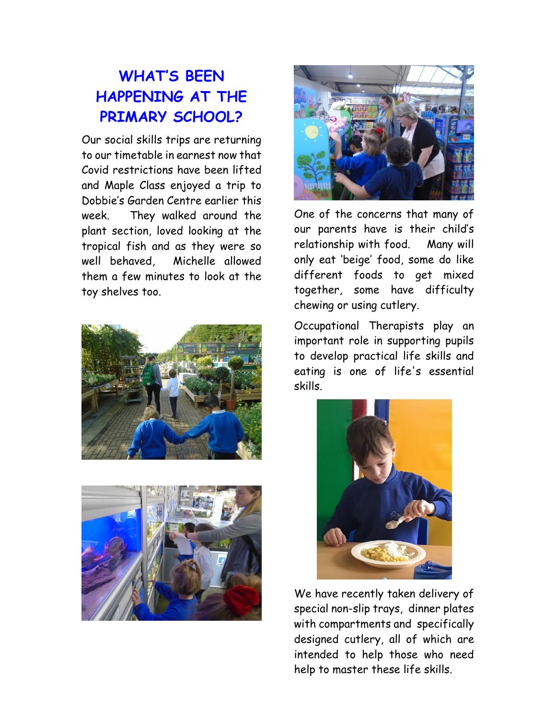# **WHAT'S BEEN HAPPENING AT THE PRIMARY SCHOOL?**

Our social skills trips are returning to our timetable in earnest now that Covid restrictions have been lifted and Maple Class enjoyed a trip to Dobbie's Garden Centre earlier this week. They walked around the plant section, loved looking at the tropical fish and as they were so well behaved, Michelle allowed them a few minutes to look at the toy shelves too.







One of the concerns that many of our parents have is their child's relationship with food. Many will only eat 'beige' food, some do like different foods to get mixed together, some have difficulty chewing or using cutlery.

Occupational Therapists play an important role in supporting pupils to develop practical life skills and eating is one of life's essential skills.



We have recently taken delivery of special non-slip trays, dinner plates with compartments and specifically designed cutlery, all of which are intended to help those who need help to master these life skills.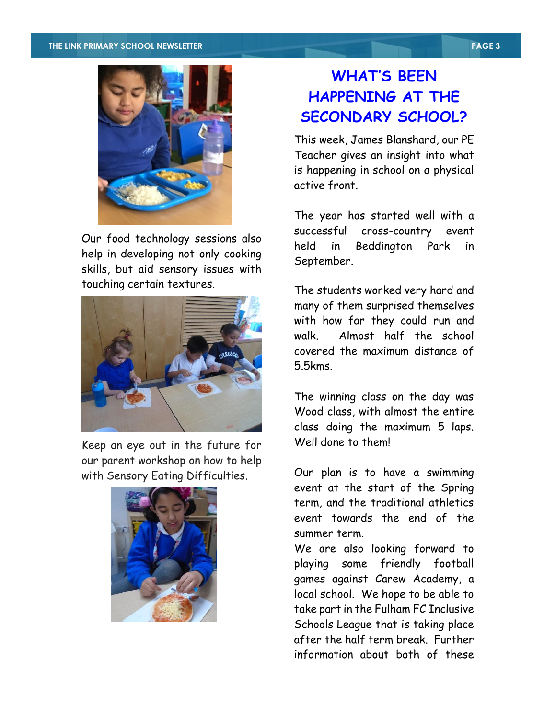

Our food technology sessions also help in developing not only cooking skills, but aid sensory issues with touching certain textures.



Keep an eye out in the future for our parent workshop on how to help with Sensory Eating Difficulties.



### **WHAT'S BEEN HAPPENING AT THE SECONDARY SCHOOL?**

This week, James Blanshard, our PE Teacher gives an insight into what is happening in school on a physical active front.

The year has started well with a successful cross-country event held in Beddington Park in September.

The students worked very hard and many of them surprised themselves with how far they could run and walk. Almost half the school covered the maximum distance of 5.5kms.

The winning class on the day was Wood class, with almost the entire class doing the maximum 5 laps. Well done to them!

Our plan is to have a swimming event at the start of the Spring term, and the traditional athletics event towards the end of the summer term.

We are also looking forward to playing some friendly football games against Carew Academy, a local school. We hope to be able to take part in the Fulham FC Inclusive Schools League that is taking place after the half term break. Further information about both of these